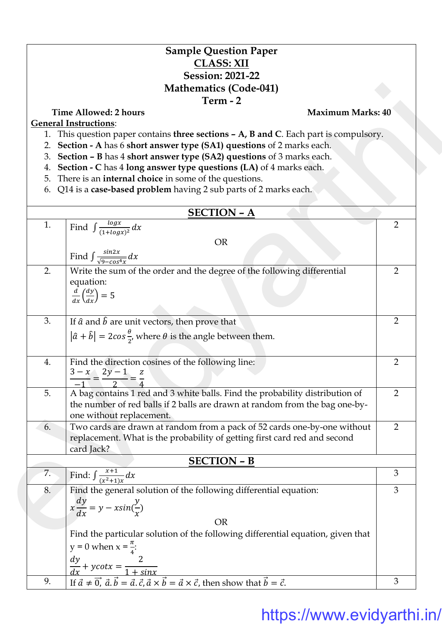## **Sample Question Paper CLASS: XII Session: 2021-22 Mathematics (Code-041) Term - 2**

- 1. This question paper contains **three sections – A, B and C**. Each part is compulsory.
- 2. **Section - A** has 6 **short answer type (SA1) questions** of 2 marks each.
- 3. **Section – B** has 4 **short answer type (SA2) questions** of 3 marks each.
- 4. **Section - C** has 4 **long answer type questions (LA)** of 4 marks each.
- 5. There is an **internal choice** in some of the questions.
- 6. Q14 is a **case-based problem** having 2 sub parts of 2 marks each.

|    | <b>Mathematics (Code-041)</b>                                                                                                                                                                                               |                |  |  |
|----|-----------------------------------------------------------------------------------------------------------------------------------------------------------------------------------------------------------------------------|----------------|--|--|
|    | Term - 2<br><b>Time Allowed: 2 hours</b><br><b>Maximum Marks: 40</b>                                                                                                                                                        |                |  |  |
|    | <b>General Instructions:</b>                                                                                                                                                                                                |                |  |  |
| 1. | This question paper contains three sections - A, B and C. Each part is compulsory.                                                                                                                                          |                |  |  |
| 2. | Section - A has 6 short answer type (SA1) questions of 2 marks each.                                                                                                                                                        |                |  |  |
| 3. | Section - B has 4 short answer type (SA2) questions of 3 marks each.                                                                                                                                                        |                |  |  |
| 4. | Section - C has 4 long answer type questions (LA) of 4 marks each.                                                                                                                                                          |                |  |  |
| 5. | There is an <b>internal choice</b> in some of the questions.                                                                                                                                                                |                |  |  |
| 6. | Q14 is a case-based problem having 2 sub parts of 2 marks each.                                                                                                                                                             |                |  |  |
|    | <b>SECTION - A</b>                                                                                                                                                                                                          |                |  |  |
| 1. | Find $\int \frac{\log x}{(1+\log x)^2} dx$                                                                                                                                                                                  | $\overline{2}$ |  |  |
|    | <b>OR</b>                                                                                                                                                                                                                   |                |  |  |
|    | Find $\int \frac{\sin 2x}{\sqrt{9-\cos^4 x}} dx$                                                                                                                                                                            |                |  |  |
|    |                                                                                                                                                                                                                             |                |  |  |
| 2. | Write the sum of the order and the degree of the following differential                                                                                                                                                     | $\overline{2}$ |  |  |
|    | equation:                                                                                                                                                                                                                   |                |  |  |
|    | $\frac{d}{dx}\left(\frac{dy}{dx}\right) = 5$                                                                                                                                                                                |                |  |  |
|    |                                                                                                                                                                                                                             |                |  |  |
| 3. | If $\hat{a}$ and $\hat{b}$ are unit vectors, then prove that                                                                                                                                                                | 2              |  |  |
|    | $ \hat{a} + \hat{b}  = 2\cos{\frac{\theta}{2}}$ , where $\theta$ is the angle between them.                                                                                                                                 |                |  |  |
|    |                                                                                                                                                                                                                             |                |  |  |
| 4. | Find the direction cosines of the following line:                                                                                                                                                                           | 2              |  |  |
|    | $\frac{3-x}{2} = \frac{2y-1}{2} = \frac{z}{4}$                                                                                                                                                                              |                |  |  |
|    |                                                                                                                                                                                                                             |                |  |  |
| 5. | A bag contains 1 red and 3 white balls. Find the probability distribution of                                                                                                                                                | $\overline{2}$ |  |  |
|    | the number of red balls if 2 balls are drawn at random from the bag one-by-                                                                                                                                                 |                |  |  |
| 6. | one without replacement.<br>Two cards are drawn at random from a pack of 52 cards one-by-one without                                                                                                                        | $\overline{2}$ |  |  |
|    | replacement. What is the probability of getting first card red and second                                                                                                                                                   |                |  |  |
|    | card Jack?                                                                                                                                                                                                                  |                |  |  |
|    | <b>SECTION - B</b>                                                                                                                                                                                                          |                |  |  |
| 7. | Find: $\int \frac{x+1}{(x^2+1)x} dx$                                                                                                                                                                                        | 3              |  |  |
| 8. | Find the general solution of the following differential equation:                                                                                                                                                           | 3              |  |  |
|    | $x\frac{dy}{dx} = y - x\sin(\frac{y}{x})$                                                                                                                                                                                   |                |  |  |
|    |                                                                                                                                                                                                                             |                |  |  |
|    | <b>OR</b>                                                                                                                                                                                                                   |                |  |  |
|    | Find the particular solution of the following differential equation, given that                                                                                                                                             |                |  |  |
|    | y = 0 when x = $\frac{\pi}{4}$ :                                                                                                                                                                                            |                |  |  |
|    |                                                                                                                                                                                                                             |                |  |  |
|    | $\frac{dy}{dx} + y \cot x = \frac{2}{1 + \sin x}$<br>If $\vec{a} \neq \vec{0}$ , $\vec{a} \cdot \vec{b} = \vec{a} \cdot \vec{c}$ , $\vec{a} \times \vec{b} = \vec{a} \times \vec{c}$ , then show that $\vec{b} = \vec{c}$ . |                |  |  |
| 9. |                                                                                                                                                                                                                             | 3              |  |  |

## https://www.evidyarthi.in/